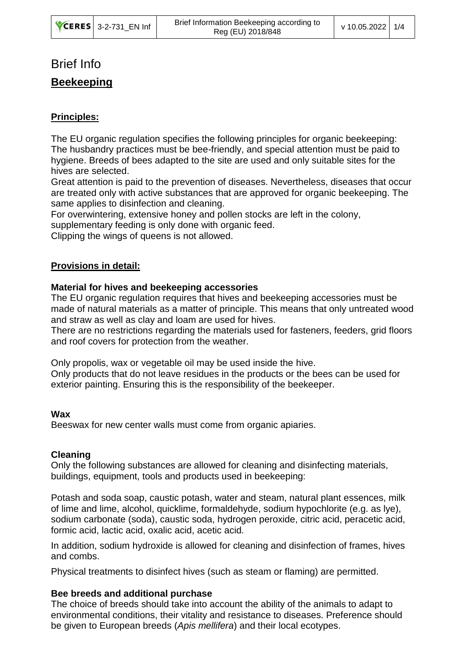# Brief Info

# **Beekeeping**

# **Principles:**

The EU organic regulation specifies the following principles for organic beekeeping: The husbandry practices must be bee-friendly, and special attention must be paid to hygiene. Breeds of bees adapted to the site are used and only suitable sites for the hives are selected.

Great attention is paid to the prevention of diseases. Nevertheless, diseases that occur are treated only with active substances that are approved for organic beekeeping. The same applies to disinfection and cleaning.

For overwintering, extensive honey and pollen stocks are left in the colony,

supplementary feeding is only done with organic feed.

Clipping the wings of queens is not allowed.

## **Provisions in detail:**

## **Material for hives and beekeeping accessories**

The EU organic regulation requires that hives and beekeeping accessories must be made of natural materials as a matter of principle. This means that only untreated wood and straw as well as clay and loam are used for hives.

There are no restrictions regarding the materials used for fasteners, feeders, grid floors and roof covers for protection from the weather.

Only propolis, wax or vegetable oil may be used inside the hive.

Only products that do not leave residues in the products or the bees can be used for exterior painting. Ensuring this is the responsibility of the beekeeper.

### **Wax**

Beeswax for new center walls must come from organic apiaries.

### **Cleaning**

Only the following substances are allowed for cleaning and disinfecting materials, buildings, equipment, tools and products used in beekeeping:

Potash and soda soap, caustic potash, water and steam, natural plant essences, milk of lime and lime, alcohol, quicklime, formaldehyde, sodium hypochlorite (e.g. as lye), sodium carbonate (soda), caustic soda, hydrogen peroxide, citric acid, peracetic acid, formic acid, lactic acid, oxalic acid, acetic acid.

In addition, sodium hydroxide is allowed for cleaning and disinfection of frames, hives and combs.

Physical treatments to disinfect hives (such as steam or flaming) are permitted.

# **Bee breeds and additional purchase**

The choice of breeds should take into account the ability of the animals to adapt to environmental conditions, their vitality and resistance to diseases. Preference should be given to European breeds (*Apis mellifera*) and their local ecotypes.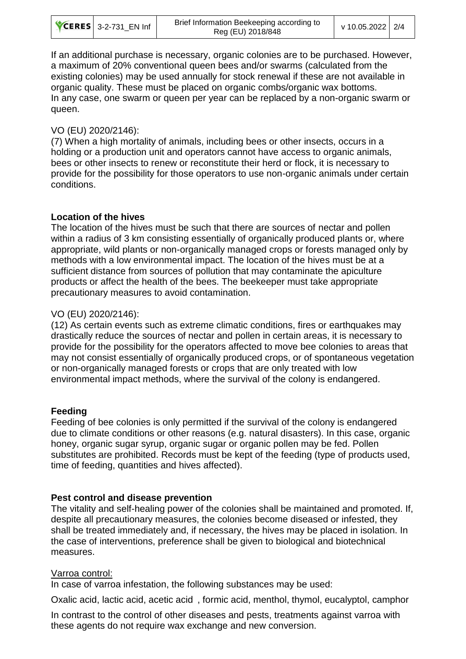|  | <b>CERES</b> 3-2-731 EN Inf | Brief Information Beekeeping according to<br>Reg (EU) 2018/848 | v 10.05.2022 2/4 |  |
|--|-----------------------------|----------------------------------------------------------------|------------------|--|
|--|-----------------------------|----------------------------------------------------------------|------------------|--|

If an additional purchase is necessary, organic colonies are to be purchased. However, a maximum of 20% conventional queen bees and/or swarms (calculated from the existing colonies) may be used annually for stock renewal if these are not available in organic quality. These must be placed on organic combs/organic wax bottoms. In any case, one swarm or queen per year can be replaced by a non-organic swarm or queen.

### VO (EU) 2020/2146):

(7) When a high mortality of animals, including bees or other insects, occurs in a holding or a production unit and operators cannot have access to organic animals, bees or other insects to renew or reconstitute their herd or flock, it is necessary to provide for the possibility for those operators to use non-organic animals under certain conditions.

## **Location of the hives**

The location of the hives must be such that there are sources of nectar and pollen within a radius of 3 km consisting essentially of organically produced plants or, where appropriate, wild plants or non-organically managed crops or forests managed only by methods with a low environmental impact. The location of the hives must be at a sufficient distance from sources of pollution that may contaminate the apiculture products or affect the health of the bees. The beekeeper must take appropriate precautionary measures to avoid contamination.

# VO (EU) 2020/2146):

(12) As certain events such as extreme climatic conditions, fires or earthquakes may drastically reduce the sources of nectar and pollen in certain areas, it is necessary to provide for the possibility for the operators affected to move bee colonies to areas that may not consist essentially of organically produced crops, or of spontaneous vegetation or non-organically managed forests or crops that are only treated with low environmental impact methods, where the survival of the colony is endangered.

# **Feeding**

Feeding of bee colonies is only permitted if the survival of the colony is endangered due to climate conditions or other reasons (e.g. natural disasters). In this case, organic honey, organic sugar syrup, organic sugar or organic pollen may be fed. Pollen substitutes are prohibited. Records must be kept of the feeding (type of products used, time of feeding, quantities and hives affected).

### **Pest control and disease prevention**

The vitality and self-healing power of the colonies shall be maintained and promoted. If, despite all precautionary measures, the colonies become diseased or infested, they shall be treated immediately and, if necessary, the hives may be placed in isolation. In the case of interventions, preference shall be given to biological and biotechnical measures.

### Varroa control:

In case of varroa infestation, the following substances may be used:

Oxalic acid, lactic acid, acetic acid , formic acid, menthol, thymol, eucalyptol, camphor

In contrast to the control of other diseases and pests, treatments against varroa with these agents do not require wax exchange and new conversion.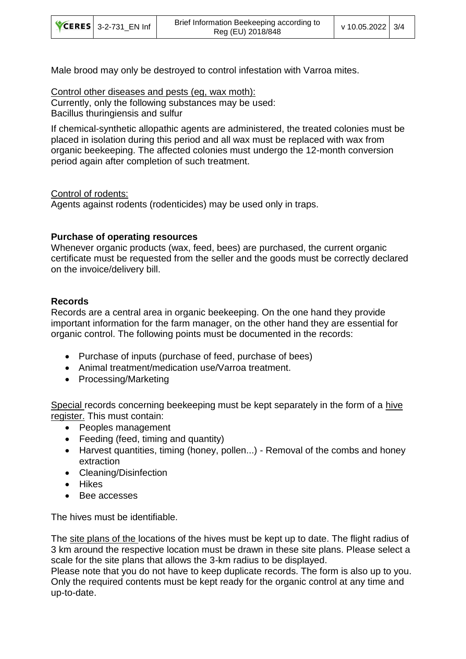| <b>CERES</b> 3-2-731 EN Inf | Brief Information Beekeeping according to<br>Reg (EU) 2018/848 | v 10.05.2022 3/4 |  |
|-----------------------------|----------------------------------------------------------------|------------------|--|
|-----------------------------|----------------------------------------------------------------|------------------|--|

Male brood may only be destroyed to control infestation with Varroa mites.

### Control other diseases and pests (eg, wax moth):

Currently, only the following substances may be used: Bacillus thuringiensis and sulfur

If chemical-synthetic allopathic agents are administered, the treated colonies must be placed in isolation during this period and all wax must be replaced with wax from organic beekeeping. The affected colonies must undergo the 12-month conversion period again after completion of such treatment.

### Control of rodents:

Agents against rodents (rodenticides) may be used only in traps.

## **Purchase of operating resources**

Whenever organic products (wax, feed, bees) are purchased, the current organic certificate must be requested from the seller and the goods must be correctly declared on the invoice/delivery bill.

## **Records**

Records are a central area in organic beekeeping. On the one hand they provide important information for the farm manager, on the other hand they are essential for organic control. The following points must be documented in the records:

- Purchase of inputs (purchase of feed, purchase of bees)
- Animal treatment/medication use/Varroa treatment.
- Processing/Marketing

Special records concerning beekeeping must be kept separately in the form of a hive register. This must contain:

- Peoples management
- Feeding (feed, timing and quantity)
- Harvest quantities, timing (honey, pollen...) Removal of the combs and honey extraction
- Cleaning/Disinfection
- Hikes
- Bee accesses

The hives must be identifiable.

The site plans of the locations of the hives must be kept up to date. The flight radius of 3 km around the respective location must be drawn in these site plans. Please select a scale for the site plans that allows the 3-km radius to be displayed.

Please note that you do not have to keep duplicate records. The form is also up to you. Only the required contents must be kept ready for the organic control at any time and up-to-date.